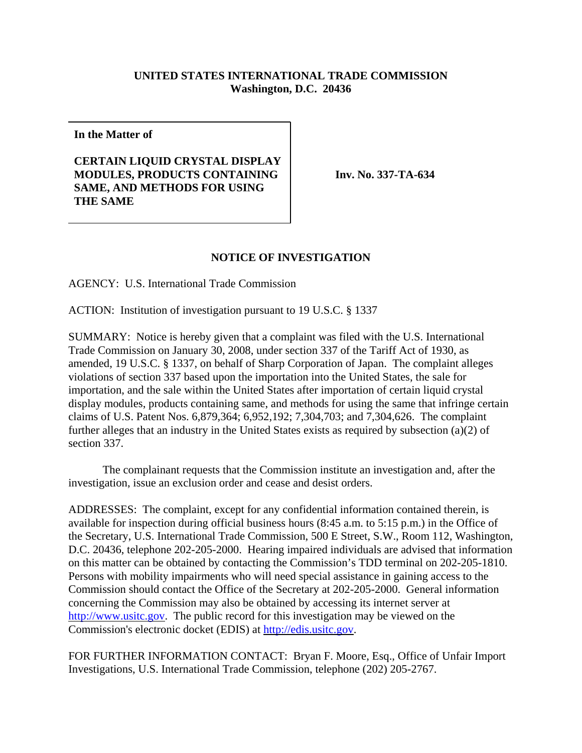## **UNITED STATES INTERNATIONAL TRADE COMMISSION Washington, D.C. 20436**

**In the Matter of**

**CERTAIN LIQUID CRYSTAL DISPLAY MODULES, PRODUCTS CONTAINING SAME, AND METHODS FOR USING THE SAME**

**Inv. No. 337-TA-634**

## **NOTICE OF INVESTIGATION**

AGENCY: U.S. International Trade Commission

ACTION: Institution of investigation pursuant to 19 U.S.C. § 1337

SUMMARY: Notice is hereby given that a complaint was filed with the U.S. International Trade Commission on January 30, 2008, under section 337 of the Tariff Act of 1930, as amended, 19 U.S.C. § 1337, on behalf of Sharp Corporation of Japan. The complaint alleges violations of section 337 based upon the importation into the United States, the sale for importation, and the sale within the United States after importation of certain liquid crystal display modules, products containing same, and methods for using the same that infringe certain claims of U.S. Patent Nos. 6,879,364; 6,952,192; 7,304,703; and 7,304,626. The complaint further alleges that an industry in the United States exists as required by subsection (a)(2) of section 337.

The complainant requests that the Commission institute an investigation and, after the investigation, issue an exclusion order and cease and desist orders.

ADDRESSES: The complaint, except for any confidential information contained therein, is available for inspection during official business hours (8:45 a.m. to 5:15 p.m.) in the Office of the Secretary, U.S. International Trade Commission, 500 E Street, S.W., Room 112, Washington, D.C. 20436, telephone 202-205-2000. Hearing impaired individuals are advised that information on this matter can be obtained by contacting the Commission's TDD terminal on 202-205-1810. Persons with mobility impairments who will need special assistance in gaining access to the Commission should contact the Office of the Secretary at 202-205-2000. General information concerning the Commission may also be obtained by accessing its internet server at http://www.usitc.gov. The public record for this investigation may be viewed on the Commission's electronic docket (EDIS) at http://edis.usitc.gov.

FOR FURTHER INFORMATION CONTACT: Bryan F. Moore, Esq., Office of Unfair Import Investigations, U.S. International Trade Commission, telephone (202) 205-2767.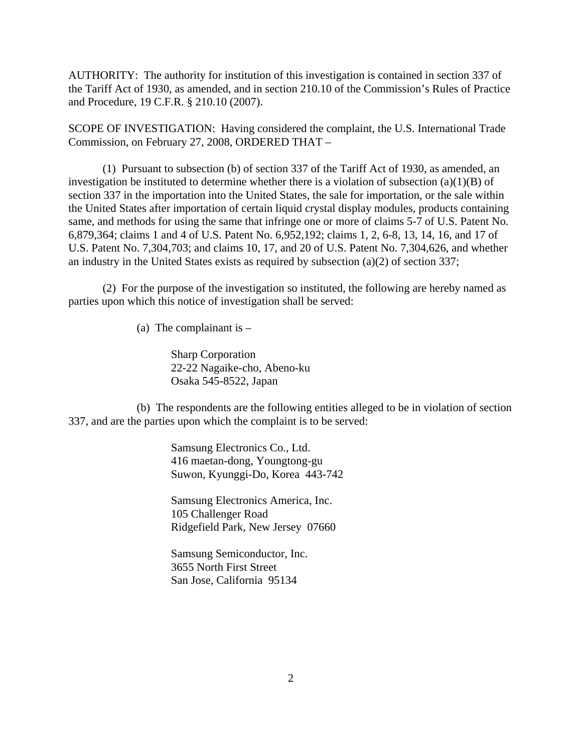AUTHORITY: The authority for institution of this investigation is contained in section 337 of the Tariff Act of 1930, as amended, and in section 210.10 of the Commission's Rules of Practice and Procedure, 19 C.F.R. § 210.10 (2007).

SCOPE OF INVESTIGATION: Having considered the complaint, the U.S. International Trade Commission, on February 27, 2008, ORDERED THAT –

(1) Pursuant to subsection (b) of section 337 of the Tariff Act of 1930, as amended, an investigation be instituted to determine whether there is a violation of subsection  $(a)(1)(B)$  of section 337 in the importation into the United States, the sale for importation, or the sale within the United States after importation of certain liquid crystal display modules, products containing same, and methods for using the same that infringe one or more of claims 5-7 of U.S. Patent No. 6,879,364; claims 1 and 4 of U.S. Patent No. 6,952,192; claims 1, 2, 6-8, 13, 14, 16, and 17 of U.S. Patent No. 7,304,703; and claims 10, 17, and 20 of U.S. Patent No. 7,304,626, and whether an industry in the United States exists as required by subsection (a)(2) of section 337;

(2) For the purpose of the investigation so instituted, the following are hereby named as parties upon which this notice of investigation shall be served:

(a) The complainant is  $-$ 

Sharp Corporation 22-22 Nagaike-cho, Abeno-ku Osaka 545-8522, Japan

(b) The respondents are the following entities alleged to be in violation of section 337, and are the parties upon which the complaint is to be served:

> Samsung Electronics Co., Ltd. 416 maetan-dong, Youngtong-gu Suwon, Kyunggi-Do, Korea 443-742

Samsung Electronics America, Inc. 105 Challenger Road Ridgefield Park, New Jersey 07660

Samsung Semiconductor, Inc. 3655 North First Street San Jose, California 95134